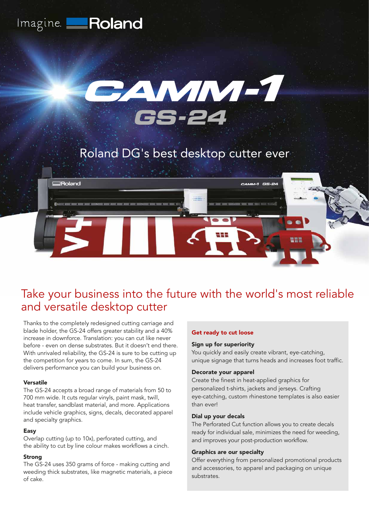



# Roland DG's best desktop cutter ever



# Take your business into the future with the world's most reliable and versatile desktop cutter

Thanks to the completely redesigned cutting carriage and blade holder, the GS-24 offers greater stability and a 40% increase in downforce. Translation: you can cut like never before - even on dense substrates. But it doesn't end there. With unrivaled reliability, the GS-24 is sure to be cutting up the competition for years to come. In sum, the GS-24 delivers performance you can build your business on.

#### Versatile

The GS-24 accepts a broad range of materials from 50 to 700 mm wide. It cuts regular vinyls, paint mask, twill, heat transfer, sandblast material, and more. Applications include vehicle graphics, signs, decals, decorated apparel and specialty graphics.

## Easy

Overlap cutting (up to 10x), perforated cutting, and the ability to cut by line colour makes workflows a cinch.

## Strong

The GS-24 uses 350 grams of force - making cutting and weeding thick substrates, like magnetic materials, a piece of cake.

### Get ready to cut loose

#### Sign up for superiority

You quickly and easily create vibrant, eye-catching, unique signage that turns heads and increases foot traffic.

#### Decorate your apparel

Create the finest in heat-applied graphics for personalized t-shirts, jackets and jerseys. Crafting eye-catching, custom rhinestone templates is also easier than ever!

### Dial up your decals

The Perforated Cut function allows you to create decals ready for individual sale, minimizes the need for weeding, and improves your post-production workflow.

#### Graphics are our specialty

Offer everything from personalized promotional products and accessories, to apparel and packaging on unique substrates.